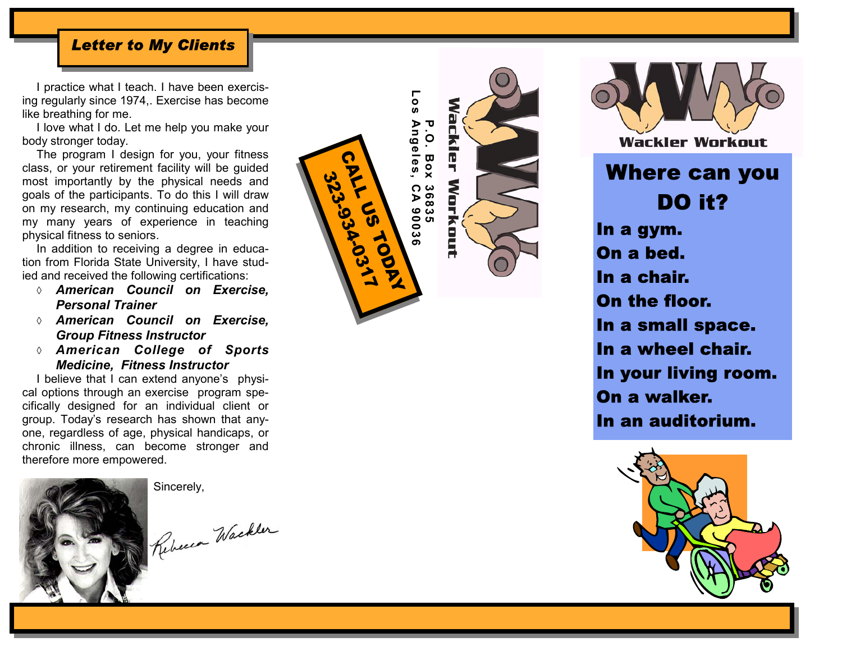#### *Letter to My Clients*

I practice what I teach. I have been exercising regularly since 1974,. Exercise has become like breathing for me.

I love what I do. Let me help you make your body stronger today.

The program I design for you, your fitness class, or your retirement facility will be guided most importantly by the physical needs and goals of the participants. To do this I will draw on my research, my continuing education and my many years of experience in teaching physical fitness to seniors.

In addition to receiving a degree in education from Florida State University, I have studied and received the following certifications:

- ◊ *American Council on Exercise, Personal Trainer*
- ◊ *American Council on Exercise, Group Fitness Instructor*
- ◊ *American College of Sports Medicine, Fitness Instructor*

I believe that I can extend anyone's physical options through an exercise program specifically designed for an individual client or group. Today's research has shown that anyone, regardless of age, physical handicaps, or chronic illness, can become stronger and therefore more empowered.